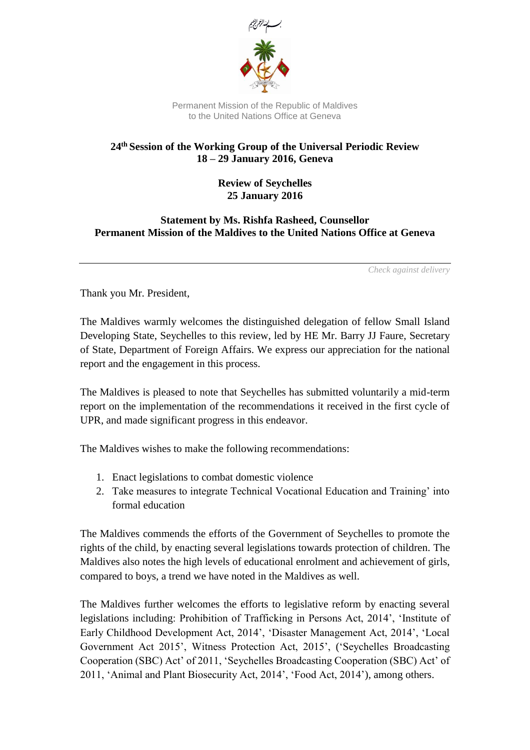

Permanent Mission of the Republic of Maldives to the United Nations Office at Geneva

## **24th Session of the Working Group of the Universal Periodic Review 18 – 29 January 2016, Geneva**

## **Review of Seychelles 25 January 2016**

## **Statement by Ms. Rishfa Rasheed, Counsellor Permanent Mission of the Maldives to the United Nations Office at Geneva**

*Check against delivery*

Thank you Mr. President,

The Maldives warmly welcomes the distinguished delegation of fellow Small Island Developing State, Seychelles to this review, led by HE Mr. Barry JJ Faure, Secretary of State, Department of Foreign Affairs. We express our appreciation for the national report and the engagement in this process.

The Maldives is pleased to note that Seychelles has submitted voluntarily a mid-term report on the implementation of the recommendations it received in the first cycle of UPR, and made significant progress in this endeavor.

The Maldives wishes to make the following recommendations:

- 1. Enact legislations to combat domestic violence
- 2. Take measures to integrate Technical Vocational Education and Training' into formal education

The Maldives commends the efforts of the Government of Seychelles to promote the rights of the child, by enacting several legislations towards protection of children. The Maldives also notes the high levels of educational enrolment and achievement of girls, compared to boys, a trend we have noted in the Maldives as well.

The Maldives further welcomes the efforts to legislative reform by enacting several legislations including: Prohibition of Trafficking in Persons Act, 2014', 'Institute of Early Childhood Development Act, 2014', 'Disaster Management Act, 2014', 'Local Government Act 2015', Witness Protection Act, 2015', ('Seychelles Broadcasting Cooperation (SBC) Act' of 2011, 'Seychelles Broadcasting Cooperation (SBC) Act' of 2011, 'Animal and Plant Biosecurity Act, 2014', 'Food Act, 2014'), among others.